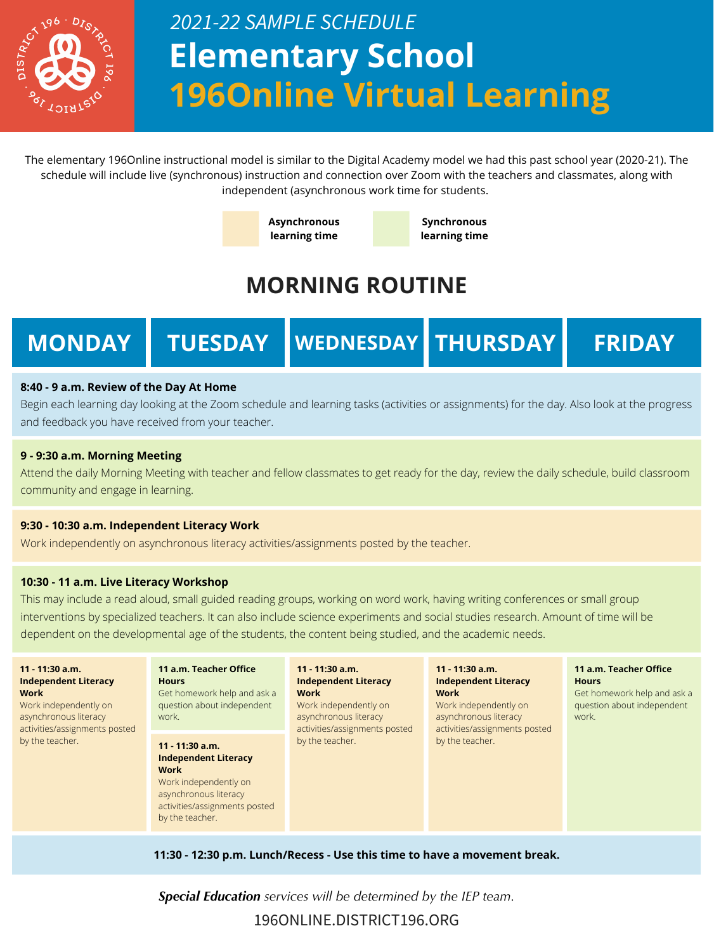

# **Elementary School 196Online Virtual Learning** *2021-22 SAMPLE SCHEDULE*

**MONDAY TUESDAY WEDNESDAY THURSDAY FRIDAY**

### **8:40 - 9 a.m. Review of the Day At Home**

Begin each learning day looking at the Zoom schedule and learning tasks (activities or assignments) for the day. Also look at the progress and feedback you have received from your teacher.

### **9 - 9:30 a.m. Morning Meeting**

Attend the daily Morning Meeting with teacher and fellow classmates to get ready for the day, review the daily schedule, build classroom community and engage in learning.

### **9:30 - 10:30 a.m. Independent Literacy Work**

Work independently on asynchronous literacy activities/assignments posted by the teacher.

### **10:30 - 11 a.m. Live Literacy Workshop**

This may include a read aloud, small guided reading groups, working on word work, having writing conferences or small group interventions by specialized teachers. It can also include science experiments and social studies research. Amount of time will be dependent on the developmental age of the students, the content being studied, and the academic needs.

| 11 - 11:30 a.m.<br><b>Independent Literacy</b><br><b>Work</b><br>Work independently on<br>asynchronous literacy<br>activities/assignments posted<br>by the teacher. | 11 a.m. Teacher Office<br><b>Hours</b><br>Get homework help and ask a<br>question about independent<br>work.                                                   | 11 - 11:30 a.m.<br><b>Independent Literacy</b><br><b>Work</b><br>Work independently on<br>asynchronous literacy<br>activities/assignments posted<br>by the teacher. | $11 - 11:30$ a.m.<br><b>Independent Literacy</b><br><b>Work</b><br>Work independently on<br>asynchronous literacy<br>activities/assignments posted<br>by the teacher. | 11 a.m. Teacher Office<br><b>Hours</b><br>Get homework help and ask a<br>question about independent<br>work. |
|---------------------------------------------------------------------------------------------------------------------------------------------------------------------|----------------------------------------------------------------------------------------------------------------------------------------------------------------|---------------------------------------------------------------------------------------------------------------------------------------------------------------------|-----------------------------------------------------------------------------------------------------------------------------------------------------------------------|--------------------------------------------------------------------------------------------------------------|
|                                                                                                                                                                     | $11 - 11:30$ a.m.<br><b>Independent Literacy</b><br>Work<br>Work independently on<br>asynchronous literacy<br>activities/assignments posted<br>by the teacher. |                                                                                                                                                                     |                                                                                                                                                                       |                                                                                                              |

**11:30 - 12:30 p.m. Lunch/Recess - Use this time to have a movement break.**

196ONLINE.DISTRICT196.ORG

*Special Education services will be determined by the IEP team.*

The elementary 196Online instructional model is similar to the Digital Academy model we had this past school year (2020-21). The schedule will include live (synchronous) instruction and connection over Zoom with the teachers and classmates, along with independent (asynchronous work time for students.



## **MORNING ROUTINE**